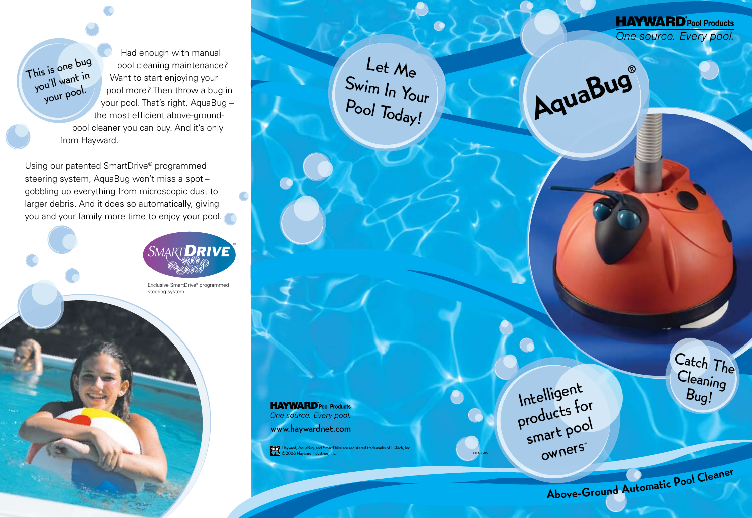Had enough with manual pool cleaning maintenance? Want to start enjoying your pool more? Then throw a bug in your pool. That's right. AquaBug – the most efficient above-ground pool cleaner you can buy. And it's only from Hayward.

Using our patented SmartDrive® programmed steering system, AquaBug won't miss a spot – gobbling up everything from microscopic dust to larger debris. And it does so automatically, giving you and your family more time to enjoy your pool.

This is one bug you'll want in your pool.



Exclusive SmartDrive® programmed steering system.

**HAYWARD** Pool Products<br>One source. Every pool.

www.haywardnet.com

Hayward, AquaBug, and SmartDrive are registered trademarks of H-Tech, Inc. ©2008 Hayward Industries, Inc.

Let Me

Swim In Your

Pool Today!



LITABG05

Catch The Cleaning Bug!

**HAYWARD** Pool Products One source. Every pool.

<sup>A</sup>bove-Grou<sup>n</sup><sup>d</sup> <sup>A</sup>utomati<sup>c</sup> <sup>P</sup>o<sup>o</sup><sup>l</sup> <sup>C</sup>leane<sup>r</sup>

AquaBug®